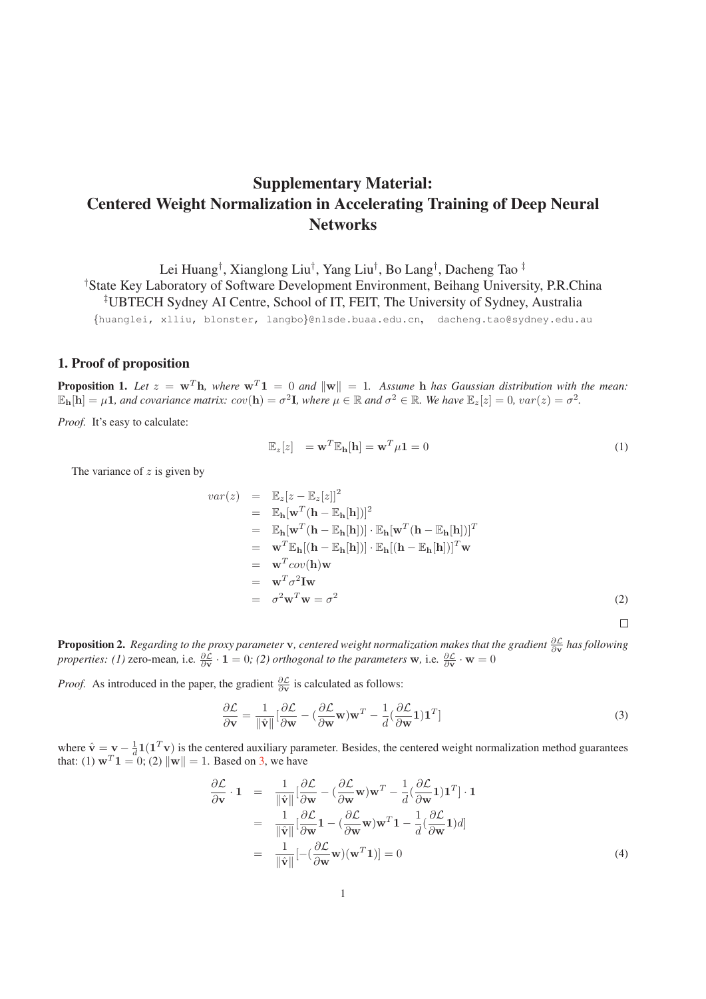# Supplementary Material: Centered Weight Normalization in Accelerating Training of Deep Neural **Networks**

Lei Huang† , Xianglong Liu† , Yang Liu† , Bo Lang† , Dacheng Tao ‡ † State Key Laboratory of Software Development Environment, Beihang University, P.R.China ‡ UBTECH Sydney AI Centre, School of IT, FEIT, The University of Sydney, Australia

{huanglei, xlliu, blonster, langbo}@nlsde.buaa.edu.cn, dacheng.tao@sydney.edu.au

### 1. Proof of proposition

**Proposition 1.** Let  $z = \mathbf{w}^T \mathbf{h}$ , where  $\mathbf{w}^T \mathbf{1} = 0$  and  $\|\mathbf{w}\| = 1$ . Assume **h** has Gaussian distribution with the mean:  $\mathbb{E}_{\mathbf{h}}[\mathbf{h}] = \mu \mathbf{1}$ *, and covariance matrix: cov*( $\mathbf{h}$ ) =  $\sigma^2 \mathbf{I}$ *, where*  $\mu \in \mathbb{R}$  *and*  $\sigma^2 \in \mathbb{R}$ *. We have*  $\mathbb{E}_z[z] = 0$ *, var*( $z$ ) =  $\sigma^2$ *.* 

*Proof.* It's easy to calculate:

$$
\mathbb{E}_z[z] = \mathbf{w}^T \mathbb{E}_{\mathbf{h}}[\mathbf{h}] = \mathbf{w}^T \mu \mathbf{1} = 0 \tag{1}
$$

The variance of  $z$  is given by

$$
var(z) = \mathbb{E}_{z}[z - \mathbb{E}_{z}[z]]^{2}
$$
  
\n
$$
= \mathbb{E}_{\mathbf{h}}[\mathbf{w}^{T}(\mathbf{h} - \mathbb{E}_{\mathbf{h}}[\mathbf{h}])]^{2}
$$
  
\n
$$
= \mathbb{E}_{\mathbf{h}}[\mathbf{w}^{T}(\mathbf{h} - \mathbb{E}_{\mathbf{h}}[\mathbf{h}])] \cdot \mathbb{E}_{\mathbf{h}}[\mathbf{w}^{T}(\mathbf{h} - \mathbb{E}_{\mathbf{h}}[\mathbf{h}])]^{T}
$$
  
\n
$$
= \mathbf{w}^{T} \mathbb{E}_{\mathbf{h}}[(\mathbf{h} - \mathbb{E}_{\mathbf{h}}[\mathbf{h}])] \cdot \mathbb{E}_{\mathbf{h}}[(\mathbf{h} - \mathbb{E}_{\mathbf{h}}[\mathbf{h}])]^{T} \mathbf{w}
$$
  
\n
$$
= \mathbf{w}^{T} cov(\mathbf{h}) \mathbf{w}
$$
  
\n
$$
= \mathbf{w}^{T} \sigma^{2} \mathbf{I} \mathbf{w}
$$
  
\n
$$
= \sigma^{2} \mathbf{w}^{T} \mathbf{w} = \sigma^{2}
$$
 (2)

**Proposition 2.** Regarding to the proxy parameter **v**, centered weight normalization makes that the gradient  $\frac{\partial L}{\partial v}$  has following *properties: (1)* zero-mean, i.e.  $\frac{\partial \mathcal{L}}{\partial v} \cdot \mathbf{1} = 0$ ; (2) orthogonal to the parameters **w**, i.e.  $\frac{\partial \mathcal{L}}{\partial v} \cdot \mathbf{w} = 0$ 

*Proof.* As introduced in the paper, the gradient  $\frac{\partial \mathcal{L}}{\partial v}$  is calculated as follows:

$$
\frac{\partial \mathcal{L}}{\partial \mathbf{v}} = \frac{1}{\|\hat{\mathbf{v}}\|} \left[\frac{\partial \mathcal{L}}{\partial \mathbf{w}} - \left(\frac{\partial \mathcal{L}}{\partial \mathbf{w}} \mathbf{w}\right) \mathbf{w}^T - \frac{1}{d} \left(\frac{\partial \mathcal{L}}{\partial \mathbf{w}} \mathbf{1}\right) \mathbf{1}^T\right]
$$
(3)

where  $\hat{\mathbf{v}} = \mathbf{v} - \frac{1}{d} \mathbf{1} (\mathbf{1}^T \mathbf{v})$  is the centered auxiliary parameter. Besides, the centered weight normalization method guarantees that: (1)  $\mathbf{w}^T \mathbf{1} = 0$ ; (2)  $\|\mathbf{w}\| = 1$ . Based on 3, we have

$$
\frac{\partial \mathcal{L}}{\partial \mathbf{v}} \cdot \mathbf{1} = \frac{1}{\|\hat{\mathbf{v}}\|} [\frac{\partial \mathcal{L}}{\partial \mathbf{w}} - (\frac{\partial \mathcal{L}}{\partial \mathbf{w}} \mathbf{w}) \mathbf{w}^T - \frac{1}{d} (\frac{\partial \mathcal{L}}{\partial \mathbf{w}} \mathbf{1}) \mathbf{1}^T] \cdot \mathbf{1}
$$
\n
$$
= \frac{1}{\|\hat{\mathbf{v}}\|} [\frac{\partial \mathcal{L}}{\partial \mathbf{w}} \mathbf{1} - (\frac{\partial \mathcal{L}}{\partial \mathbf{w}} \mathbf{w}) \mathbf{w}^T \mathbf{1} - \frac{1}{d} (\frac{\partial \mathcal{L}}{\partial \mathbf{w}} \mathbf{1}) d]
$$
\n
$$
= \frac{1}{\|\hat{\mathbf{v}}\|} [-(\frac{\partial \mathcal{L}}{\partial \mathbf{w}} \mathbf{w}) (\mathbf{w}^T \mathbf{1})] = 0 \tag{4}
$$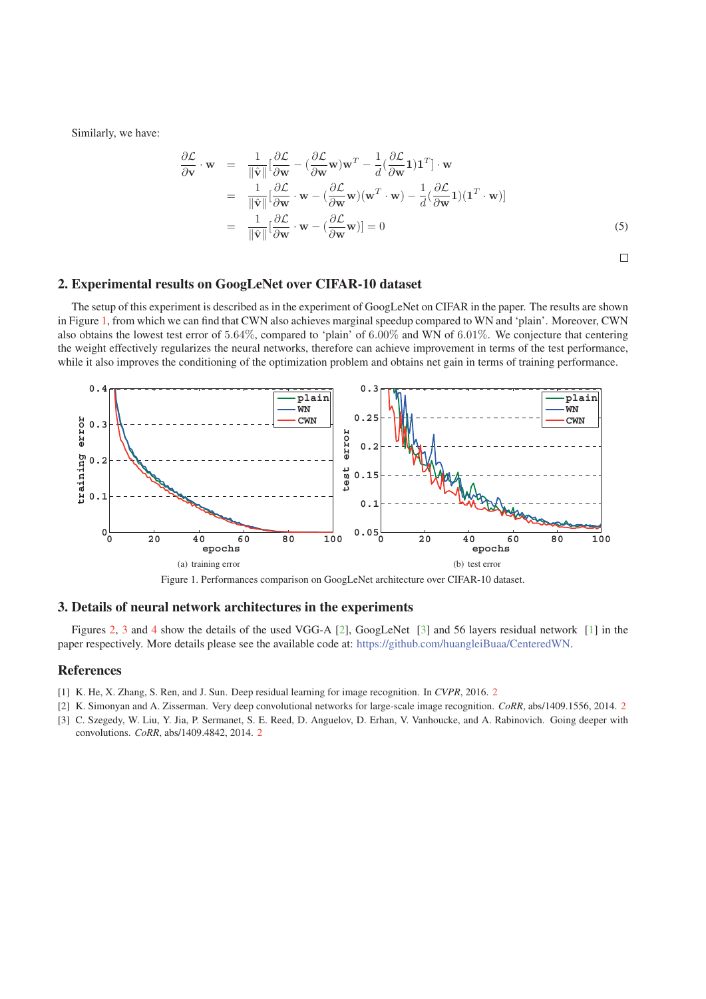Similarly, we have:

$$
\frac{\partial \mathcal{L}}{\partial \mathbf{v}} \cdot \mathbf{w} = \frac{1}{\|\hat{\mathbf{v}}\|} [\frac{\partial \mathcal{L}}{\partial \mathbf{w}} - (\frac{\partial \mathcal{L}}{\partial \mathbf{w}} \mathbf{w}) \mathbf{w}^T - \frac{1}{d} (\frac{\partial \mathcal{L}}{\partial \mathbf{w}} \mathbf{1}) \mathbf{1}^T] \cdot \mathbf{w}
$$
\n
$$
= \frac{1}{\|\hat{\mathbf{v}}\|} [\frac{\partial \mathcal{L}}{\partial \mathbf{w}} \cdot \mathbf{w} - (\frac{\partial \mathcal{L}}{\partial \mathbf{w}} \mathbf{w})(\mathbf{w}^T \cdot \mathbf{w}) - \frac{1}{d} (\frac{\partial \mathcal{L}}{\partial \mathbf{w}} \mathbf{1})(\mathbf{1}^T \cdot \mathbf{w})]
$$
\n
$$
= \frac{1}{\|\hat{\mathbf{v}}\|} [\frac{\partial \mathcal{L}}{\partial \mathbf{w}} \cdot \mathbf{w} - (\frac{\partial \mathcal{L}}{\partial \mathbf{w}} \mathbf{w})] = 0 \tag{5}
$$

 $\Box$ 

### 2. Experimental results on GoogLeNet over CIFAR-10 dataset

The setup of this experiment is described as in the experiment of GoogLeNet on CIFAR in the paper. The results are shown in Figure 1, from which we can find that CWN also achieves marginal speedup compared to WN and 'plain'. Moreover, CWN also obtains the lowest test error of 5.64%, compared to 'plain' of 6.00% and WN of 6.01%. We conjecture that centering the weight effectively regularizes the neural networks, therefore can achieve improvement in terms of the test performance, while it also improves the conditioning of the optimization problem and obtains net gain in terms of training performance.



Figure 1. Performances comparison on GoogLeNet architecture over CIFAR-10 dataset.

## 3. Details of neural network architectures in the experiments

Figures 2, 3 and 4 show the details of the used VGG-A [2], GoogLeNet [3] and 56 layers residual network [1] in the paper respectively. More details please see the available code at: https://github.com/huangleiBuaa/CenteredWN.

### References

- [1] K. He, X. Zhang, S. Ren, and J. Sun. Deep residual learning for image recognition. In *CVPR*, 2016. 2
- [2] K. Simonyan and A. Zisserman. Very deep convolutional networks for large-scale image recognition. *CoRR*, abs/1409.1556, 2014. 2
- [3] C. Szegedy, W. Liu, Y. Jia, P. Sermanet, S. E. Reed, D. Anguelov, D. Erhan, V. Vanhoucke, and A. Rabinovich. Going deeper with convolutions. *CoRR*, abs/1409.4842, 2014. 2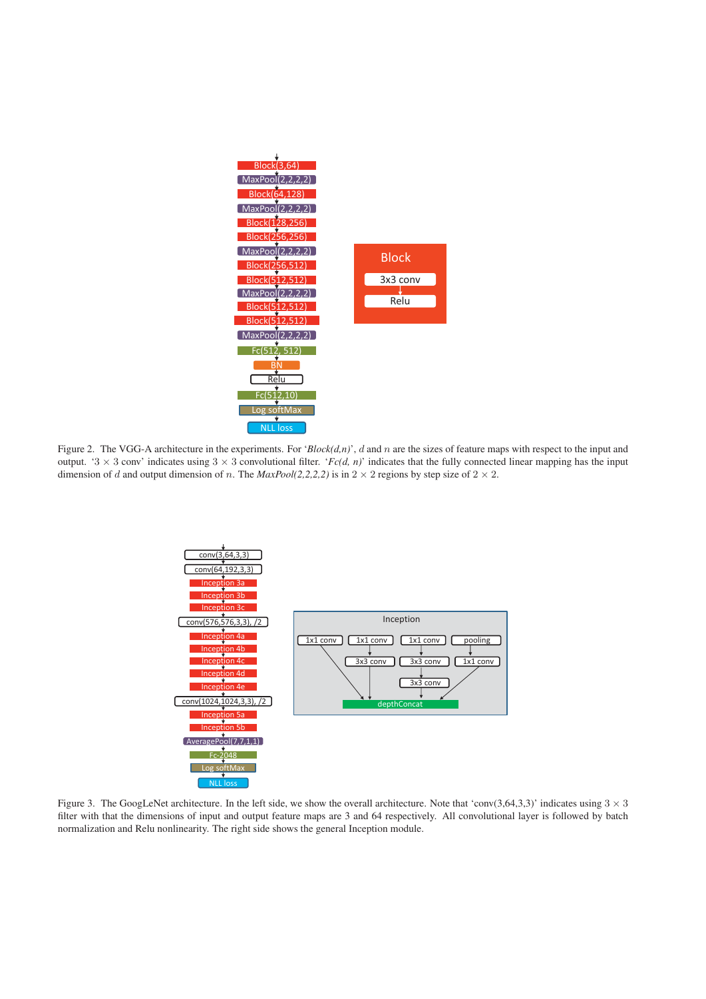

Figure 2. The VGG-A architecture in the experiments. For ' $Block(d, n)$ ', d and n are the sizes of feature maps with respect to the input and output. '3  $\times$  3 conv' indicates using 3  $\times$  3 convolutional filter. '*Fc(d, n)*' indicates that the fully connected linear mapping has the input dimension of d and output dimension of n. The  $MaxPool(2,2,2,2)$  is in  $2 \times 2$  regions by step size of  $2 \times 2$ .



Figure 3. The GoogLeNet architecture. In the left side, we show the overall architecture. Note that 'conv(3,64,3,3)' indicates using  $3 \times 3$ filter with that the dimensions of input and output feature maps are 3 and 64 respectively. All convolutional layer is followed by batch normalization and Relu nonlinearity. The right side shows the general Inception module.